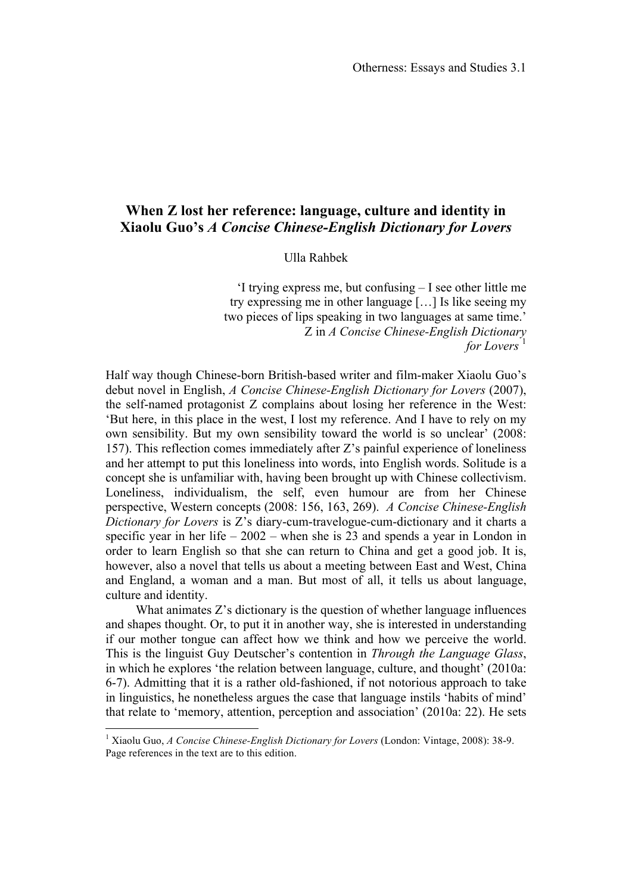## **When Z lost her reference: language, culture and identity in Xiaolu Guo's** *A Concise Chinese-English Dictionary for Lovers*

Ulla Rahbek

'I trying express me, but confusing – I see other little me try expressing me in other language […] Is like seeing my two pieces of lips speaking in two languages at same time.' Z in *A Concise Chinese-English Dictionary for Lovers* 

Half way though Chinese-born British-based writer and film-maker Xiaolu Guo's debut novel in English, *A Concise Chinese-English Dictionary for Lovers* (2007), the self-named protagonist Z complains about losing her reference in the West: 'But here, in this place in the west, I lost my reference. And I have to rely on my own sensibility. But my own sensibility toward the world is so unclear' (2008: 157). This reflection comes immediately after Z's painful experience of loneliness and her attempt to put this loneliness into words, into English words. Solitude is a concept she is unfamiliar with, having been brought up with Chinese collectivism. Loneliness, individualism, the self, even humour are from her Chinese perspective, Western concepts (2008: 156, 163, 269). *A Concise Chinese-English Dictionary for Lovers* is Z's diary-cum-travelogue-cum-dictionary and it charts a specific year in her life  $-2002$  – when she is 23 and spends a year in London in order to learn English so that she can return to China and get a good job. It is, however, also a novel that tells us about a meeting between East and West, China and England, a woman and a man. But most of all, it tells us about language, culture and identity.

What animates Z's dictionary is the question of whether language influences and shapes thought. Or, to put it in another way, she is interested in understanding if our mother tongue can affect how we think and how we perceive the world. This is the linguist Guy Deutscher's contention in *Through the Language Glass*, in which he explores 'the relation between language, culture, and thought' (2010a: 6-7). Admitting that it is a rather old-fashioned, if not notorious approach to take in linguistics, he nonetheless argues the case that language instils 'habits of mind' that relate to 'memory, attention, perception and association' (2010a: 22). He sets

 $\frac{1}{1}$ <sup>1</sup> Xiaolu Guo, *A Concise Chinese-English Dictionary for Lovers* (London: Vintage, 2008): 38-9. Page references in the text are to this edition.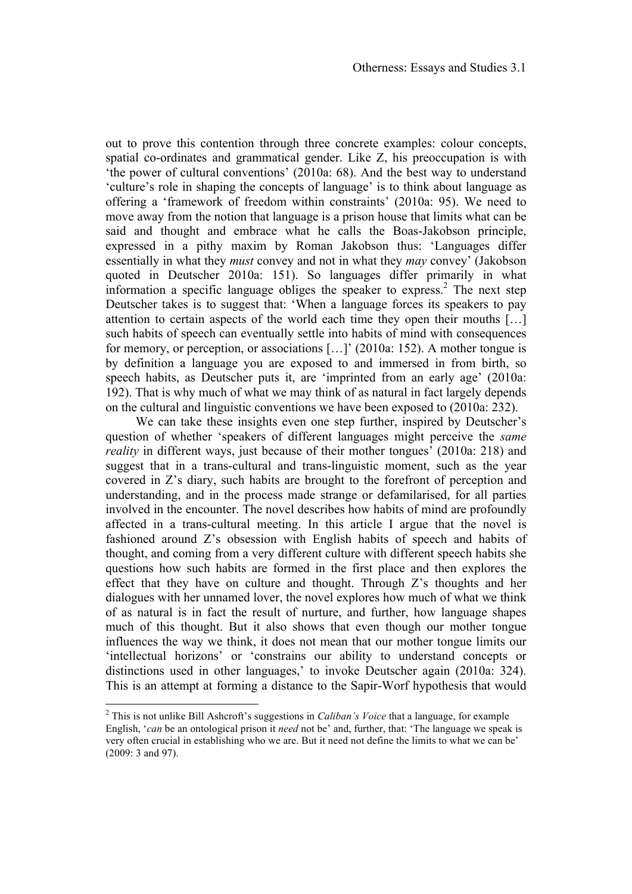out to prove this contention through three concrete examples: colour concepts, spatial co-ordinates and grammatical gender. Like Z, his preoccupation is with 'the power of cultural conventions' (2010a: 68). And the best way to understand 'culture's role in shaping the concepts of language' is to think about language as offering a 'framework of freedom within constraints' (2010a: 95). We need to move away from the notion that language is a prison house that limits what can be said and thought and embrace what he calls the Boas-Jakobson principle, expressed in a pithy maxim by Roman Jakobson thus: 'Languages differ essentially in what they *must* convey and not in what they *may* convey' (Jakobson quoted in Deutscher 2010a: 151). So languages differ primarily in what information a specific language obliges the speaker to express.<sup>2</sup> The next step Deutscher takes is to suggest that: 'When a language forces its speakers to pay attention to certain aspects of the world each time they open their mouths […] such habits of speech can eventually settle into habits of mind with consequences for memory, or perception, or associations […]' (2010a: 152). A mother tongue is by definition a language you are exposed to and immersed in from birth, so speech habits, as Deutscher puts it, are 'imprinted from an early age' (2010a: 192). That is why much of what we may think of as natural in fact largely depends on the cultural and linguistic conventions we have been exposed to (2010a: 232).

We can take these insights even one step further, inspired by Deutscher's question of whether 'speakers of different languages might perceive the *same reality* in different ways, just because of their mother tongues' (2010a: 218) and suggest that in a trans-cultural and trans-linguistic moment, such as the year covered in Z's diary, such habits are brought to the forefront of perception and understanding, and in the process made strange or defamilarised, for all parties involved in the encounter. The novel describes how habits of mind are profoundly affected in a trans-cultural meeting. In this article I argue that the novel is fashioned around Z's obsession with English habits of speech and habits of thought, and coming from a very different culture with different speech habits she questions how such habits are formed in the first place and then explores the effect that they have on culture and thought. Through  $Z$ 's thoughts and her dialogues with her unnamed lover, the novel explores how much of what we think of as natural is in fact the result of nurture, and further, how language shapes much of this thought. But it also shows that even though our mother tongue influences the way we think, it does not mean that our mother tongue limits our 'intellectual horizons' or 'constrains our ability to understand concepts or distinctions used in other languages,' to invoke Deutscher again (2010a: 324). This is an attempt at forming a distance to the Sapir-Worf hypothesis that would

 $\frac{1}{2}$  This is not unlike Bill Ashcroft's suggestions in *Caliban's Voice* that a language, for example English, '*can* be an ontological prison it *need* not be' and, further, that: 'The language we speak is very often crucial in establishing who we are. But it need not define the limits to what we can be' (2009: 3 and 97).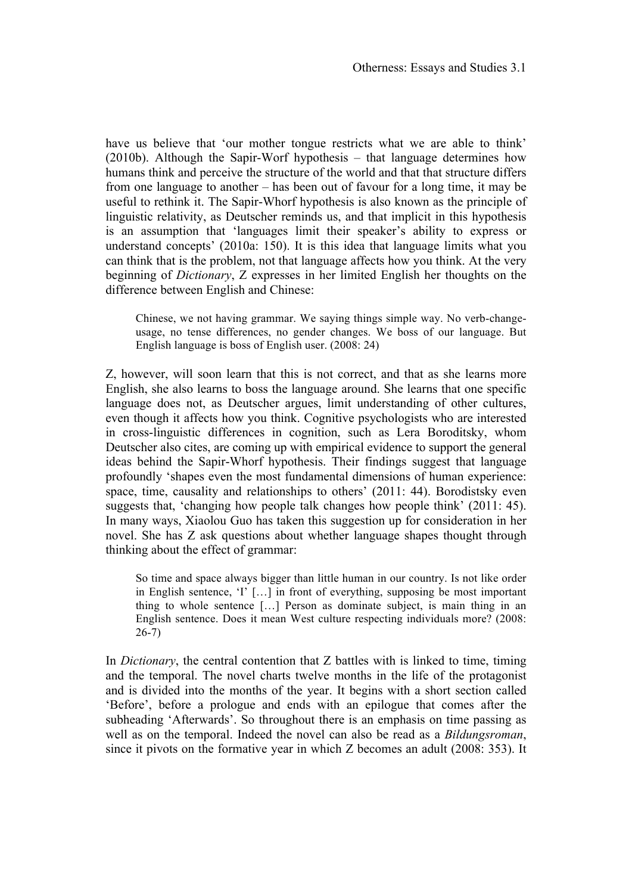have us believe that 'our mother tongue restricts what we are able to think' (2010b). Although the Sapir-Worf hypothesis – that language determines how humans think and perceive the structure of the world and that that structure differs from one language to another – has been out of favour for a long time, it may be useful to rethink it. The Sapir-Whorf hypothesis is also known as the principle of linguistic relativity, as Deutscher reminds us, and that implicit in this hypothesis is an assumption that 'languages limit their speaker's ability to express or understand concepts' (2010a: 150). It is this idea that language limits what you can think that is the problem, not that language affects how you think. At the very beginning of *Dictionary*, Z expresses in her limited English her thoughts on the difference between English and Chinese:

Chinese, we not having grammar. We saying things simple way. No verb-changeusage, no tense differences, no gender changes. We boss of our language. But English language is boss of English user. (2008: 24)

Z, however, will soon learn that this is not correct, and that as she learns more English, she also learns to boss the language around. She learns that one specific language does not, as Deutscher argues, limit understanding of other cultures, even though it affects how you think. Cognitive psychologists who are interested in cross-linguistic differences in cognition, such as Lera Boroditsky, whom Deutscher also cites, are coming up with empirical evidence to support the general ideas behind the Sapir-Whorf hypothesis. Their findings suggest that language profoundly 'shapes even the most fundamental dimensions of human experience: space, time, causality and relationships to others' (2011: 44). Borodistsky even suggests that, 'changing how people talk changes how people think' (2011: 45). In many ways, Xiaolou Guo has taken this suggestion up for consideration in her novel. She has Z ask questions about whether language shapes thought through thinking about the effect of grammar:

So time and space always bigger than little human in our country. Is not like order in English sentence, 'I' […] in front of everything, supposing be most important thing to whole sentence […] Person as dominate subject, is main thing in an English sentence. Does it mean West culture respecting individuals more? (2008: 26-7)

In *Dictionary*, the central contention that Z battles with is linked to time, timing and the temporal. The novel charts twelve months in the life of the protagonist and is divided into the months of the year. It begins with a short section called 'Before', before a prologue and ends with an epilogue that comes after the subheading 'Afterwards'. So throughout there is an emphasis on time passing as well as on the temporal. Indeed the novel can also be read as a *Bildungsroman*, since it pivots on the formative year in which Z becomes an adult (2008: 353). It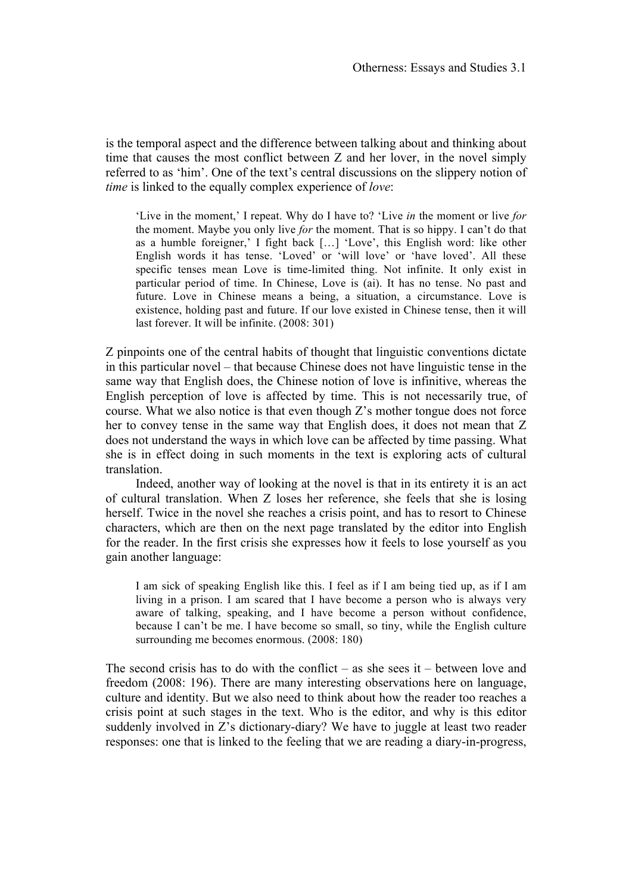is the temporal aspect and the difference between talking about and thinking about time that causes the most conflict between Z and her lover, in the novel simply referred to as 'him'. One of the text's central discussions on the slippery notion of *time* is linked to the equally complex experience of *love*:

'Live in the moment,' I repeat. Why do I have to? 'Live *in* the moment or live *for* the moment. Maybe you only live *for* the moment. That is so hippy. I can't do that as a humble foreigner,' I fight back […] 'Love', this English word: like other English words it has tense. 'Loved' or 'will love' or 'have loved'. All these specific tenses mean Love is time-limited thing. Not infinite. It only exist in particular period of time. In Chinese, Love is (ai). It has no tense. No past and future. Love in Chinese means a being, a situation, a circumstance. Love is existence, holding past and future. If our love existed in Chinese tense, then it will last forever. It will be infinite. (2008: 301)

Z pinpoints one of the central habits of thought that linguistic conventions dictate in this particular novel – that because Chinese does not have linguistic tense in the same way that English does, the Chinese notion of love is infinitive, whereas the English perception of love is affected by time. This is not necessarily true, of course. What we also notice is that even though Z's mother tongue does not force her to convey tense in the same way that English does, it does not mean that Z does not understand the ways in which love can be affected by time passing. What she is in effect doing in such moments in the text is exploring acts of cultural translation.

Indeed, another way of looking at the novel is that in its entirety it is an act of cultural translation. When Z loses her reference, she feels that she is losing herself. Twice in the novel she reaches a crisis point, and has to resort to Chinese characters, which are then on the next page translated by the editor into English for the reader. In the first crisis she expresses how it feels to lose yourself as you gain another language:

I am sick of speaking English like this. I feel as if I am being tied up, as if I am living in a prison. I am scared that I have become a person who is always very aware of talking, speaking, and I have become a person without confidence, because I can't be me. I have become so small, so tiny, while the English culture surrounding me becomes enormous. (2008: 180)

The second crisis has to do with the conflict – as she sees it – between love and freedom (2008: 196). There are many interesting observations here on language, culture and identity. But we also need to think about how the reader too reaches a crisis point at such stages in the text. Who is the editor, and why is this editor suddenly involved in Z's dictionary-diary? We have to juggle at least two reader responses: one that is linked to the feeling that we are reading a diary-in-progress,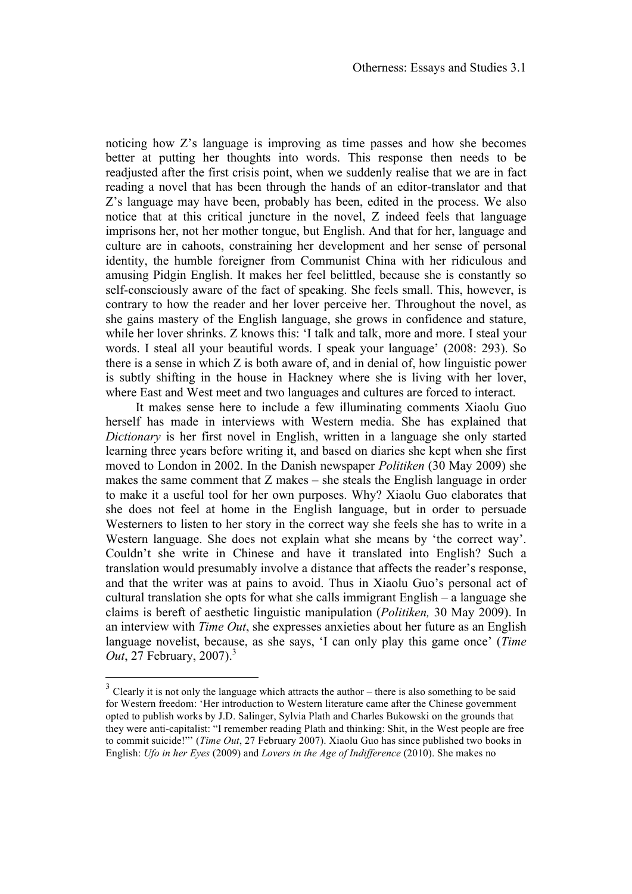noticing how Z's language is improving as time passes and how she becomes better at putting her thoughts into words. This response then needs to be readjusted after the first crisis point, when we suddenly realise that we are in fact reading a novel that has been through the hands of an editor-translator and that Z's language may have been, probably has been, edited in the process. We also notice that at this critical juncture in the novel, Z indeed feels that language imprisons her, not her mother tongue, but English. And that for her, language and culture are in cahoots, constraining her development and her sense of personal identity, the humble foreigner from Communist China with her ridiculous and amusing Pidgin English. It makes her feel belittled, because she is constantly so self-consciously aware of the fact of speaking. She feels small. This, however, is contrary to how the reader and her lover perceive her. Throughout the novel, as she gains mastery of the English language, she grows in confidence and stature, while her lover shrinks. Z knows this: 'I talk and talk, more and more. I steal your words. I steal all your beautiful words. I speak your language' (2008: 293). So there is a sense in which Z is both aware of, and in denial of, how linguistic power is subtly shifting in the house in Hackney where she is living with her lover, where East and West meet and two languages and cultures are forced to interact.

It makes sense here to include a few illuminating comments Xiaolu Guo herself has made in interviews with Western media. She has explained that *Dictionary* is her first novel in English, written in a language she only started learning three years before writing it, and based on diaries she kept when she first moved to London in 2002. In the Danish newspaper *Politiken* (30 May 2009) she makes the same comment that  $Z$  makes – she steals the English language in order to make it a useful tool for her own purposes. Why? Xiaolu Guo elaborates that she does not feel at home in the English language, but in order to persuade Westerners to listen to her story in the correct way she feels she has to write in a Western language. She does not explain what she means by 'the correct way'. Couldn't she write in Chinese and have it translated into English? Such a translation would presumably involve a distance that affects the reader's response, and that the writer was at pains to avoid. Thus in Xiaolu Guo's personal act of cultural translation she opts for what she calls immigrant English – a language she claims is bereft of aesthetic linguistic manipulation (*Politiken,* 30 May 2009). In an interview with *Time Out*, she expresses anxieties about her future as an English language novelist, because, as she says, 'I can only play this game once' (*Time Out*, 27 February, 2007).<sup>3</sup>

 $3$  Clearly it is not only the language which attracts the author – there is also something to be said for Western freedom: 'Her introduction to Western literature came after the Chinese government opted to publish works by J.D. Salinger, Sylvia Plath and Charles Bukowski on the grounds that they were anti-capitalist: "I remember reading Plath and thinking: Shit, in the West people are free to commit suicide!"' (*Time Out*, 27 February 2007). Xiaolu Guo has since published two books in English: *Ufo in her Eyes* (2009) and *Lovers in the Age of Indifference* (2010). She makes no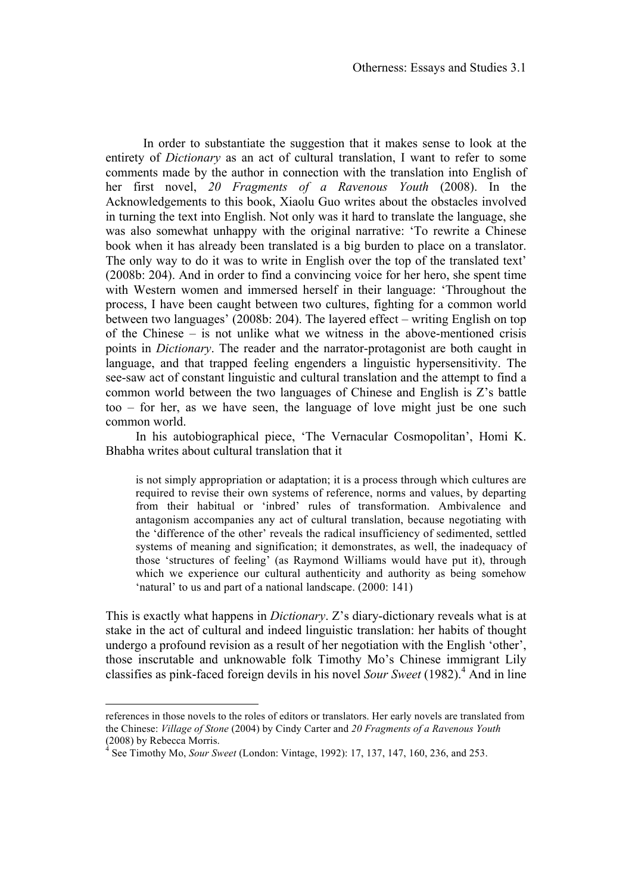In order to substantiate the suggestion that it makes sense to look at the entirety of *Dictionary* as an act of cultural translation, I want to refer to some comments made by the author in connection with the translation into English of her first novel, *20 Fragments of a Ravenous Youth* (2008). In the Acknowledgements to this book, Xiaolu Guo writes about the obstacles involved in turning the text into English. Not only was it hard to translate the language, she was also somewhat unhappy with the original narrative: 'To rewrite a Chinese book when it has already been translated is a big burden to place on a translator. The only way to do it was to write in English over the top of the translated text' (2008b: 204). And in order to find a convincing voice for her hero, she spent time with Western women and immersed herself in their language: 'Throughout the process, I have been caught between two cultures, fighting for a common world between two languages' (2008b: 204). The layered effect – writing English on top of the Chinese – is not unlike what we witness in the above-mentioned crisis points in *Dictionary*. The reader and the narrator-protagonist are both caught in language, and that trapped feeling engenders a linguistic hypersensitivity. The see-saw act of constant linguistic and cultural translation and the attempt to find a common world between the two languages of Chinese and English is Z's battle too – for her, as we have seen, the language of love might just be one such common world.

In his autobiographical piece, 'The Vernacular Cosmopolitan', Homi K. Bhabha writes about cultural translation that it

is not simply appropriation or adaptation; it is a process through which cultures are required to revise their own systems of reference, norms and values, by departing from their habitual or 'inbred' rules of transformation. Ambivalence and antagonism accompanies any act of cultural translation, because negotiating with the 'difference of the other' reveals the radical insufficiency of sedimented, settled systems of meaning and signification; it demonstrates, as well, the inadequacy of those 'structures of feeling' (as Raymond Williams would have put it), through which we experience our cultural authenticity and authority as being somehow 'natural' to us and part of a national landscape. (2000: 141)

This is exactly what happens in *Dictionary*. Z's diary-dictionary reveals what is at stake in the act of cultural and indeed linguistic translation: her habits of thought undergo a profound revision as a result of her negotiation with the English 'other', those inscrutable and unknowable folk Timothy Mo's Chinese immigrant Lily classifies as pink-faced foreign devils in his novel *Sour Sweet* (1982).<sup>4</sup> And in line

references in those novels to the roles of editors or translators. Her early novels are translated from the Chinese: *Village of Stone* (2004) by Cindy Carter and *20 Fragments of a Ravenous Youth* (2008) by Rebecca Morris.

<sup>4</sup> See Timothy Mo, *Sour Sweet* (London: Vintage, 1992): 17, 137, 147, 160, 236, and 253.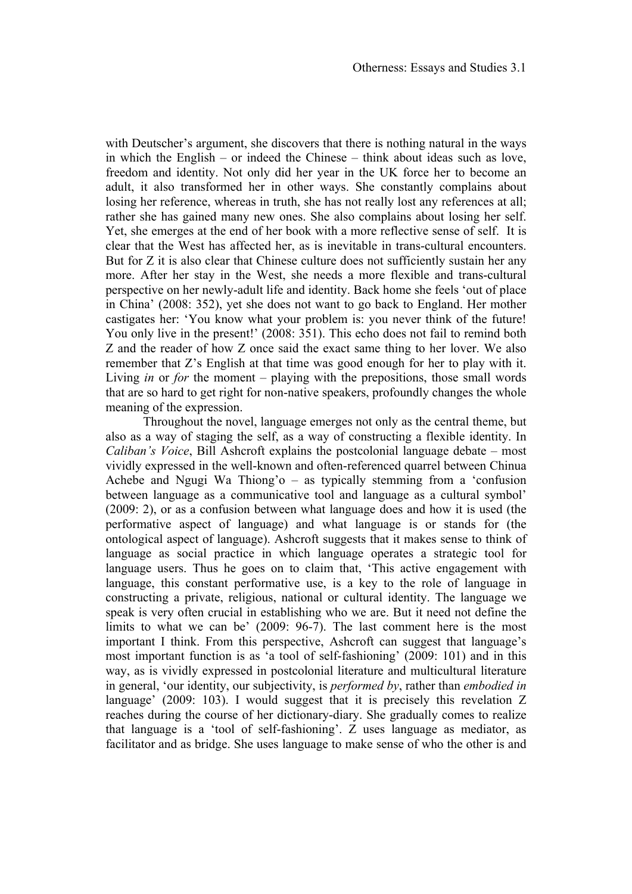with Deutscher's argument, she discovers that there is nothing natural in the ways in which the English – or indeed the Chinese – think about ideas such as love, freedom and identity. Not only did her year in the UK force her to become an adult, it also transformed her in other ways. She constantly complains about losing her reference, whereas in truth, she has not really lost any references at all; rather she has gained many new ones. She also complains about losing her self. Yet, she emerges at the end of her book with a more reflective sense of self. It is clear that the West has affected her, as is inevitable in trans-cultural encounters. But for Z it is also clear that Chinese culture does not sufficiently sustain her any more. After her stay in the West, she needs a more flexible and trans-cultural perspective on her newly-adult life and identity. Back home she feels 'out of place in China' (2008: 352), yet she does not want to go back to England. Her mother castigates her: 'You know what your problem is: you never think of the future! You only live in the present!' (2008: 351). This echo does not fail to remind both Z and the reader of how Z once said the exact same thing to her lover. We also remember that Z's English at that time was good enough for her to play with it. Living *in* or *for* the moment – playing with the prepositions, those small words that are so hard to get right for non-native speakers, profoundly changes the whole meaning of the expression.

Throughout the novel, language emerges not only as the central theme, but also as a way of staging the self, as a way of constructing a flexible identity. In *Caliban's Voice*, Bill Ashcroft explains the postcolonial language debate – most vividly expressed in the well-known and often-referenced quarrel between Chinua Achebe and Ngugi Wa Thiong'o – as typically stemming from a 'confusion between language as a communicative tool and language as a cultural symbol' (2009: 2), or as a confusion between what language does and how it is used (the performative aspect of language) and what language is or stands for (the ontological aspect of language). Ashcroft suggests that it makes sense to think of language as social practice in which language operates a strategic tool for language users. Thus he goes on to claim that, 'This active engagement with language, this constant performative use, is a key to the role of language in constructing a private, religious, national or cultural identity. The language we speak is very often crucial in establishing who we are. But it need not define the limits to what we can be' (2009: 96-7). The last comment here is the most important I think. From this perspective, Ashcroft can suggest that language's most important function is as 'a tool of self-fashioning' (2009: 101) and in this way, as is vividly expressed in postcolonial literature and multicultural literature in general, 'our identity, our subjectivity, is *performed by*, rather than *embodied in* language' (2009: 103). I would suggest that it is precisely this revelation Z reaches during the course of her dictionary-diary. She gradually comes to realize that language is a 'tool of self-fashioning'. Z uses language as mediator, as facilitator and as bridge. She uses language to make sense of who the other is and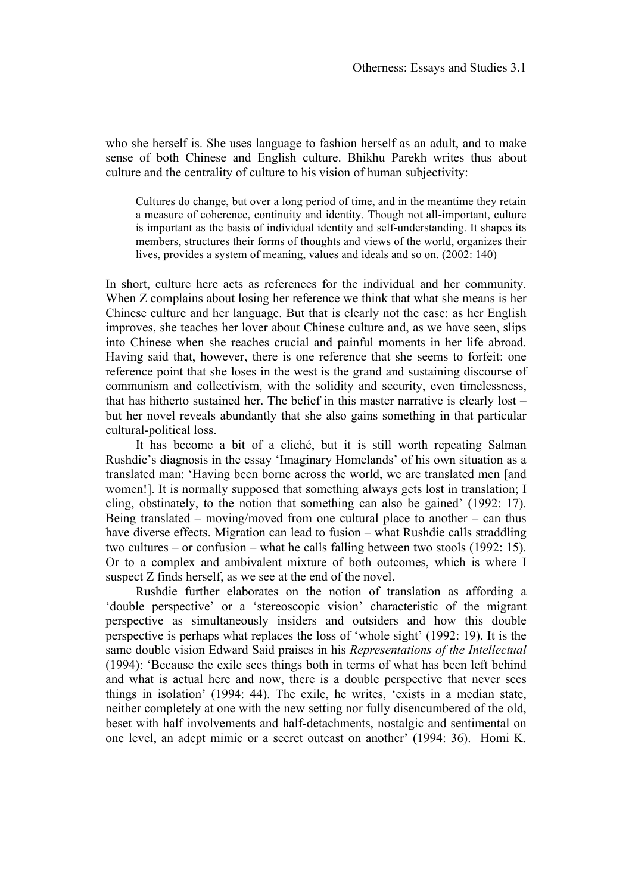who she herself is. She uses language to fashion herself as an adult, and to make sense of both Chinese and English culture. Bhikhu Parekh writes thus about culture and the centrality of culture to his vision of human subjectivity:

Cultures do change, but over a long period of time, and in the meantime they retain a measure of coherence, continuity and identity. Though not all-important, culture is important as the basis of individual identity and self-understanding. It shapes its members, structures their forms of thoughts and views of the world, organizes their lives, provides a system of meaning, values and ideals and so on. (2002: 140)

In short, culture here acts as references for the individual and her community. When Z complains about losing her reference we think that what she means is her Chinese culture and her language. But that is clearly not the case: as her English improves, she teaches her lover about Chinese culture and, as we have seen, slips into Chinese when she reaches crucial and painful moments in her life abroad. Having said that, however, there is one reference that she seems to forfeit: one reference point that she loses in the west is the grand and sustaining discourse of communism and collectivism, with the solidity and security, even timelessness, that has hitherto sustained her. The belief in this master narrative is clearly lost – but her novel reveals abundantly that she also gains something in that particular cultural-political loss.

It has become a bit of a cliché, but it is still worth repeating Salman Rushdie's diagnosis in the essay 'Imaginary Homelands' of his own situation as a translated man: 'Having been borne across the world, we are translated men [and women!]. It is normally supposed that something always gets lost in translation; I cling, obstinately, to the notion that something can also be gained' (1992: 17). Being translated – moving/moved from one cultural place to another – can thus have diverse effects. Migration can lead to fusion – what Rushdie calls straddling two cultures – or confusion – what he calls falling between two stools (1992: 15). Or to a complex and ambivalent mixture of both outcomes, which is where I suspect Z finds herself, as we see at the end of the novel.

Rushdie further elaborates on the notion of translation as affording a 'double perspective' or a 'stereoscopic vision' characteristic of the migrant perspective as simultaneously insiders and outsiders and how this double perspective is perhaps what replaces the loss of 'whole sight' (1992: 19). It is the same double vision Edward Said praises in his *Representations of the Intellectual* (1994): 'Because the exile sees things both in terms of what has been left behind and what is actual here and now, there is a double perspective that never sees things in isolation' (1994: 44). The exile, he writes, 'exists in a median state, neither completely at one with the new setting nor fully disencumbered of the old, beset with half involvements and half-detachments, nostalgic and sentimental on one level, an adept mimic or a secret outcast on another' (1994: 36). Homi K.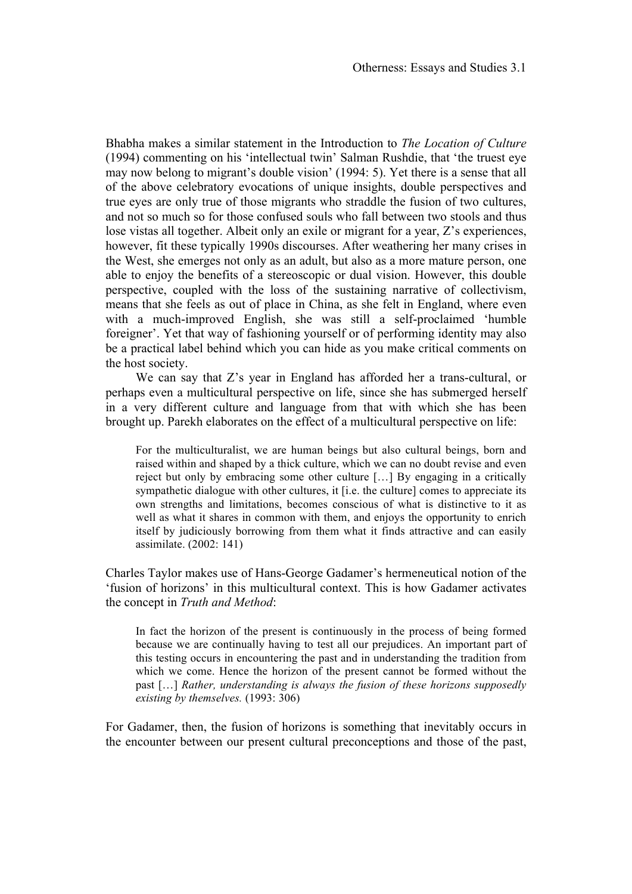Bhabha makes a similar statement in the Introduction to *The Location of Culture* (1994) commenting on his 'intellectual twin' Salman Rushdie, that 'the truest eye may now belong to migrant's double vision' (1994: 5). Yet there is a sense that all of the above celebratory evocations of unique insights, double perspectives and true eyes are only true of those migrants who straddle the fusion of two cultures, and not so much so for those confused souls who fall between two stools and thus lose vistas all together. Albeit only an exile or migrant for a year, Z's experiences, however, fit these typically 1990s discourses. After weathering her many crises in the West, she emerges not only as an adult, but also as a more mature person, one able to enjoy the benefits of a stereoscopic or dual vision. However, this double perspective, coupled with the loss of the sustaining narrative of collectivism, means that she feels as out of place in China, as she felt in England, where even with a much-improved English, she was still a self-proclaimed 'humble foreigner'. Yet that way of fashioning yourself or of performing identity may also be a practical label behind which you can hide as you make critical comments on the host society.

We can say that Z's year in England has afforded her a trans-cultural, or perhaps even a multicultural perspective on life, since she has submerged herself in a very different culture and language from that with which she has been brought up. Parekh elaborates on the effect of a multicultural perspective on life:

For the multiculturalist, we are human beings but also cultural beings, born and raised within and shaped by a thick culture, which we can no doubt revise and even reject but only by embracing some other culture […] By engaging in a critically sympathetic dialogue with other cultures, it [i.e. the culture] comes to appreciate its own strengths and limitations, becomes conscious of what is distinctive to it as well as what it shares in common with them, and enjoys the opportunity to enrich itself by judiciously borrowing from them what it finds attractive and can easily assimilate. (2002: 141)

Charles Taylor makes use of Hans-George Gadamer's hermeneutical notion of the 'fusion of horizons' in this multicultural context. This is how Gadamer activates the concept in *Truth and Method*:

In fact the horizon of the present is continuously in the process of being formed because we are continually having to test all our prejudices. An important part of this testing occurs in encountering the past and in understanding the tradition from which we come. Hence the horizon of the present cannot be formed without the past […] *Rather, understanding is always the fusion of these horizons supposedly existing by themselves.* (1993: 306)

For Gadamer, then, the fusion of horizons is something that inevitably occurs in the encounter between our present cultural preconceptions and those of the past,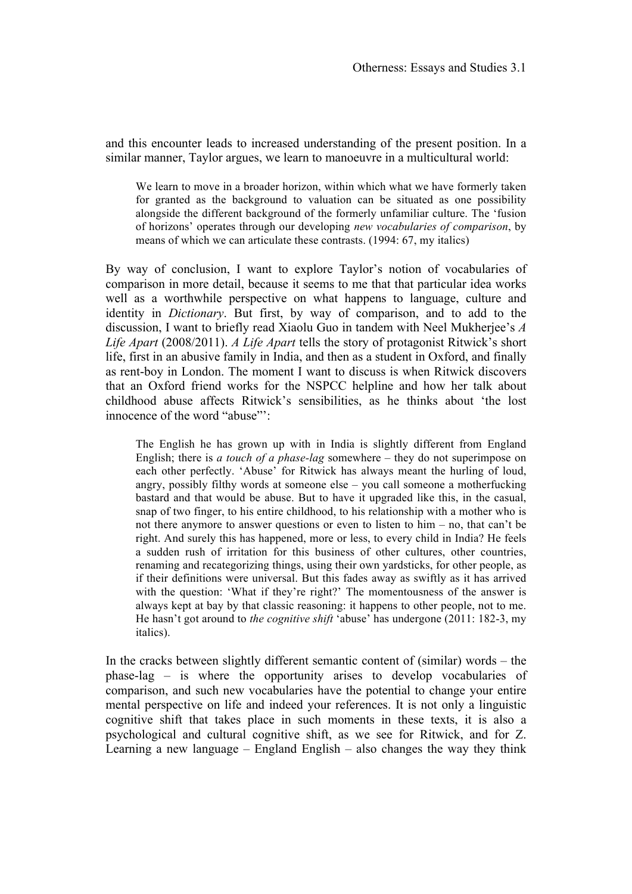and this encounter leads to increased understanding of the present position. In a similar manner, Taylor argues, we learn to manoeuvre in a multicultural world:

We learn to move in a broader horizon, within which what we have formerly taken for granted as the background to valuation can be situated as one possibility alongside the different background of the formerly unfamiliar culture. The 'fusion of horizons' operates through our developing *new vocabularies of comparison*, by means of which we can articulate these contrasts. (1994: 67, my italics)

By way of conclusion, I want to explore Taylor's notion of vocabularies of comparison in more detail, because it seems to me that that particular idea works well as a worthwhile perspective on what happens to language, culture and identity in *Dictionary*. But first, by way of comparison, and to add to the discussion, I want to briefly read Xiaolu Guo in tandem with Neel Mukherjee's *A Life Apart* (2008/2011). *A Life Apart* tells the story of protagonist Ritwick's short life, first in an abusive family in India, and then as a student in Oxford, and finally as rent-boy in London. The moment I want to discuss is when Ritwick discovers that an Oxford friend works for the NSPCC helpline and how her talk about childhood abuse affects Ritwick's sensibilities, as he thinks about 'the lost innocence of the word "abuse"':

The English he has grown up with in India is slightly different from England English; there is *a touch of a phase-lag* somewhere – they do not superimpose on each other perfectly. 'Abuse' for Ritwick has always meant the hurling of loud, angry, possibly filthy words at someone else – you call someone a motherfucking bastard and that would be abuse. But to have it upgraded like this, in the casual, snap of two finger, to his entire childhood, to his relationship with a mother who is not there anymore to answer questions or even to listen to him – no, that can't be right. And surely this has happened, more or less, to every child in India? He feels a sudden rush of irritation for this business of other cultures, other countries, renaming and recategorizing things, using their own yardsticks, for other people, as if their definitions were universal. But this fades away as swiftly as it has arrived with the question: 'What if they're right?' The momentousness of the answer is always kept at bay by that classic reasoning: it happens to other people, not to me. He hasn't got around to *the cognitive shift* 'abuse' has undergone (2011: 182-3, my italics).

In the cracks between slightly different semantic content of (similar) words – the phase-lag – is where the opportunity arises to develop vocabularies of comparison, and such new vocabularies have the potential to change your entire mental perspective on life and indeed your references. It is not only a linguistic cognitive shift that takes place in such moments in these texts, it is also a psychological and cultural cognitive shift, as we see for Ritwick, and for Z. Learning a new language – England English – also changes the way they think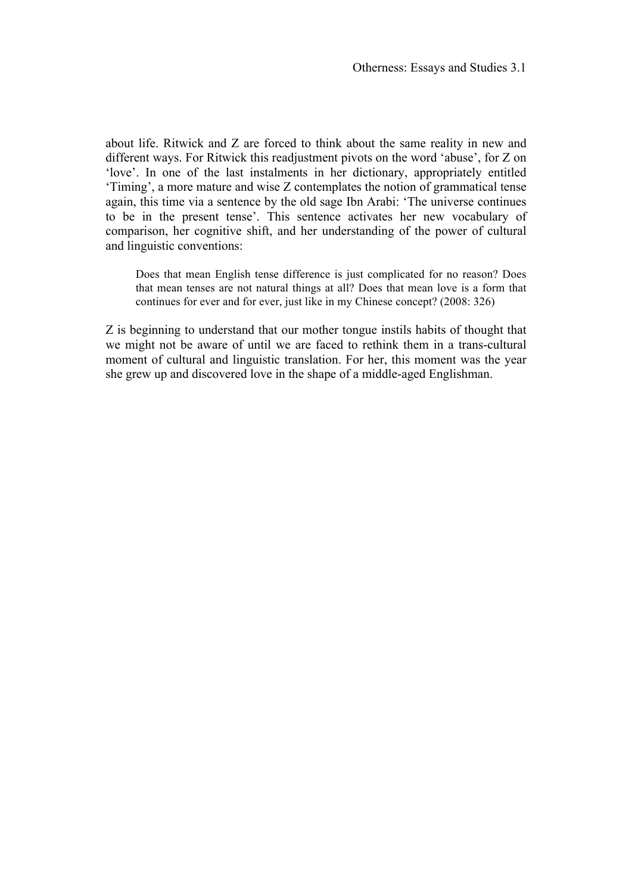about life. Ritwick and Z are forced to think about the same reality in new and different ways. For Ritwick this readjustment pivots on the word 'abuse', for Z on 'love'. In one of the last instalments in her dictionary, appropriately entitled 'Timing', a more mature and wise Z contemplates the notion of grammatical tense again, this time via a sentence by the old sage Ibn Arabi: 'The universe continues to be in the present tense'. This sentence activates her new vocabulary of comparison, her cognitive shift, and her understanding of the power of cultural and linguistic conventions:

Does that mean English tense difference is just complicated for no reason? Does that mean tenses are not natural things at all? Does that mean love is a form that continues for ever and for ever, just like in my Chinese concept? (2008: 326)

Z is beginning to understand that our mother tongue instils habits of thought that we might not be aware of until we are faced to rethink them in a trans-cultural moment of cultural and linguistic translation. For her, this moment was the year she grew up and discovered love in the shape of a middle-aged Englishman.